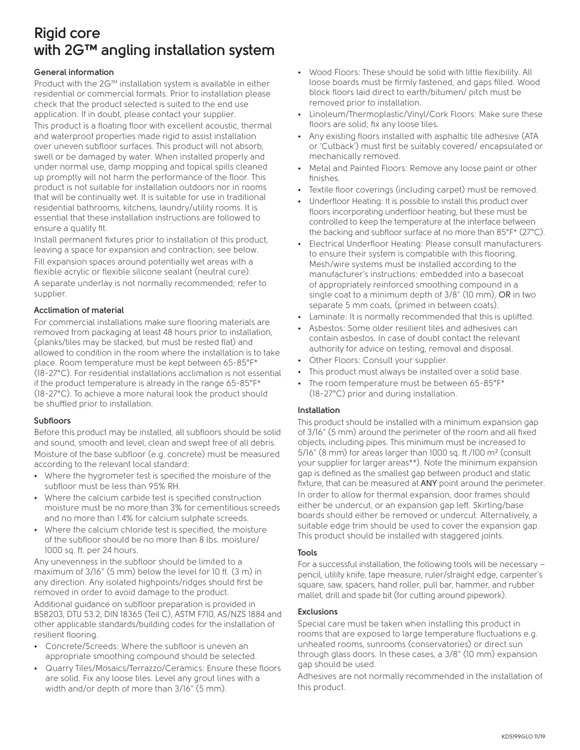# **Rigid core with 2G™ angling installation system**

### **General information**

Product with the 2G™ installation system is available in either residential or commercial formats. Prior to installation please check that the product selected is suited to the end use application. If in doubt, please contact your supplier. This product is a floating floor with excellent acoustic, thermal and waterproof properties made rigid to assist installation over uneven subfloor surfaces. This product will not absorb, swell or be damaged by water. When installed properly and under normal use, damp mopping and topical spills cleaned up promptly will not harm the performance of the floor. This product is not suitable for installation outdoors nor in rooms that will be continually wet. It is suitable for use in traditional residential bathrooms, kitchens, laundry/utility rooms. It is essential that these installation instructions are followed to ensure a quality fit.

Install permanent fixtures prior to installation of this product, leaving a space for expansion and contraction; see below. Fill expansion spaces around potentially wet areas with a flexible acrylic or flexible silicone sealant (neutral cure). A separate underlay is not normally recommended; refer to supplier.

## **Acclimation of material**

For commercial installations make sure flooring materials are removed from packaging at least 48 hours prior to installation, (planks/tiles may be stacked, but must be rested flat) and allowed to condition in the room where the installation is to take place. Room temperature must be kept between 65-85°F\* (18-27°C). For residential installations acclimation is not essential if the product temperature is already in the range 65-85°F\* (18-27°C). To achieve a more natural look the product should be shuffled prior to installation.

#### **Subfloors**

Before this product may be installed, all subfloors should be solid and sound, smooth and level, clean and swept free of all debris. Moisture of the base subfloor (e.g. concrete) must be measured according to the relevant local standard:

- Where the hygrometer test is specified the moisture of the subfloor must be less than 95% RH.
- Where the calcium carbide test is specified construction moisture must be no more than 3% for cementitious screeds and no more than 1.4% for calcium sulphate screeds.
- Where the calcium chloride test is specified, the moisture of the subfloor should be no more than 8 lbs. moisture/ 1000 sq. ft. per 24 hours.

Any unevenness in the subfloor should be limited to a maximum of 3/16" (5 mm) below the level for 10 ft. (3 m) in any direction. Any isolated highpoints/ridges should first be removed in order to avoid damage to the product.

Additional guidance on subfloor preparation is provided in BS8203, DTU 53.2, DIN 18365 (Teil C), ASTM F710, AS/NZS 1884 and other applicable standards/building codes for the installation of resilient flooring.

- Concrete/Screeds: Where the subfloor is uneven an appropriate smoothing compound should be selected.
- Quarry Tiles/Mosaics/Terrazzo/Ceramics: Ensure these floors are solid. Fix any loose tiles. Level any grout lines with a width and/or depth of more than 3/16" (5 mm).
- Wood Floors: These should be solid with little flexibility. All loose boards must be firmly fastened, and gaps filled. Wood block floors laid direct to earth/bitumen/ pitch must be removed prior to installation.
- Linoleum/Thermoplastic/Vinyl/Cork Floors: Make sure these floors are solid; fix any loose tiles.
- Any existing floors installed with asphaltic tile adhesive (ATA or 'Cutback') must first be suitably covered/ encapsulated or mechanically removed.
- Metal and Painted Floors: Remove any loose paint or other finishes.
- Textile floor coverings (including carpet) must be removed.
- Underfloor Heating: It is possible to install this product over floors incorporating underfloor heating, but these must be controlled to keep the temperature at the interface between the backing and subfloor surface at no more than 85°F\* (27°C).
- Electrical Underfloor Heating: Please consult manufacturers to ensure their system is compatible with this flooring. Mesh/wire systems must be installed according to the manufacturer's instructions: embedded into a basecoat of appropriately reinforced smoothing compound in a single coat to a minimum depth of 3/8" (10 mm), OR in two separate 5 mm coats, (primed in between coats).
- Laminate: It is normally recommended that this is uplifted.
- Asbestos: Some older resilient tiles and adhesives can contain asbestos. In case of doubt contact the relevant authority for advice on testing, removal and disposal.
- Other Floors: Consult your supplier.
- This product must always be installed over a solid base.
- The room temperature must be between 65-85°F\* (18-27°C) prior and during installation.

#### **Installation**

This product should be installed with a minimum expansion gap of 3/16" (5 mm) around the perimeter of the room and all fixed objects, including pipes. This minimum must be increased to 5/16" (8 mm) for areas larger than 1000 sq. ft./100 m² (consult your supplier for larger areas\*\*). Note the minimum expansion gap is defined as the smallest gap between product and static fixture, that can be measured at ANY point around the perimeter. In order to allow for thermal expansion, door frames should either be undercut, or an expansion gap left. Skirting/base boards should either be removed or undercut. Alternatively, a suitable edge trim should be used to cover the expansion gap. This product should be installed with staggered joints.

#### **Tools**

For a successful installation, the following tools will be necessary – pencil, utility knife, tape measure, ruler/straight edge, carpenter's square, saw, spacers, hand roller, pull bar, hammer, and rubber mallet, drill and spade bit (for cutting around pipework).

#### **Exclusions**

Special care must be taken when installing this product in rooms that are exposed to large temperature fluctuations e.g. unheated rooms, sunrooms (conservatories) or direct sun through glass doors. In these cases, a 3/8" (10 mm) expansion gap should be used.

Adhesives are not normally recommended in the installation of this product.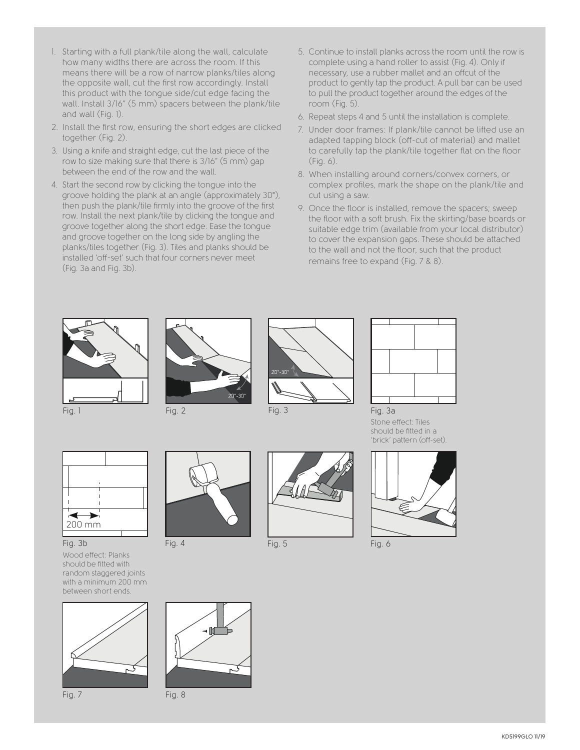- 1. Starting with a full plank/tile along the wall, calculate how many widths there are across the room. If this means there will be a row of narrow planks/tiles along the opposite wall, cut the first row accordingly. Install this product with the tongue side/cut edge facing the wall. Install 3/16" (5 mm) spacers between the plank/tile and wall (Fig. 1).
- 2. Install the first row, ensuring the short edges are clicked together (Fig. 2).
- 3. Using a knife and straight edge, cut the last piece of the row to size making sure that there is 3/16" (5 mm) gap between the end of the row and the wall.
- 4. Start the second row by clicking the tongue into the groove holding the plank at an angle (approximately 30°), then push the plank/tile firmly into the groove of the first row. Install the next plank/tile by clicking the tongue and groove together along the short edge. Ease the tongue and groove together on the long side by angling the planks/tiles together (Fig. 3). Tiles and planks should be installed 'off-set' such that four corners never meet (Fig. 3a and Fig. 3b).
- 5. Continue to install planks across the room until the row is complete using a hand roller to assist (Fig. 4). Only if necessary, use a rubber mallet and an offcut of the product to gently tap the product. A pull bar can be used to pull the product together around the edges of the room (Fig. 5).
- 6. Repeat steps 4 and 5 until the installation is complete.
- 7. Under door frames: If plank/tile cannot be lifted use an adapted tapping block (off-cut of material) and mallet to carefully tap the plank/tile together flat on the floor (Fig. 6).
- 8. When installing around corners/convex corners, or complex profiles, mark the shape on the plank/tile and cut using a saw.
- 9. Once the floor is installed, remove the spacers; sweep the floor with a soft brush. Fix the skirting/base boards or suitable edge trim (available from your local distributor) to cover the expansion gaps. These should be attached to the wall and not the floor, such that the product remains free to expand (Fig. 7 & 8).









Fig. 3a Stone effect: Tiles should be fitted in a 'brick' pattern (off-set).





Wood effect: Planks should be fitted with random staggered joints with a minimum 200 mm between short ends.







Fig. 4 Fig. 5 Fig. 6





⊣M